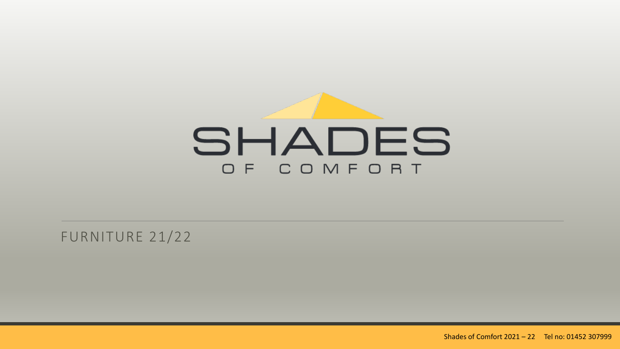

FURNITURE 21/22

Shades of Comfort 2021 - 22 Tel no: 01452 307999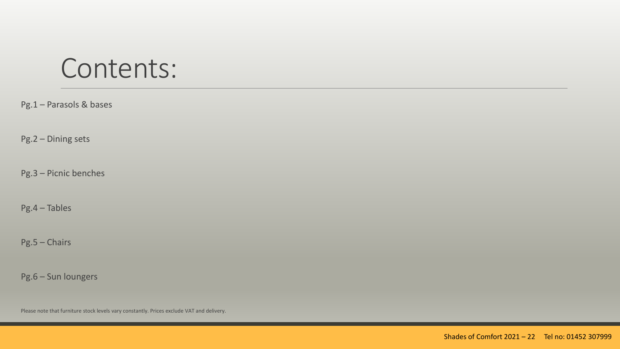#### Contents:

Pg.1 – Parasols & bases

Pg.2 – Dining sets

Pg.3 – Picnic benches

Pg.4 – Tables

Pg.5 – Chairs

Pg.6 – Sun loungers

Please note that furniture stock levels vary constantly. Prices exclude VAT and delivery.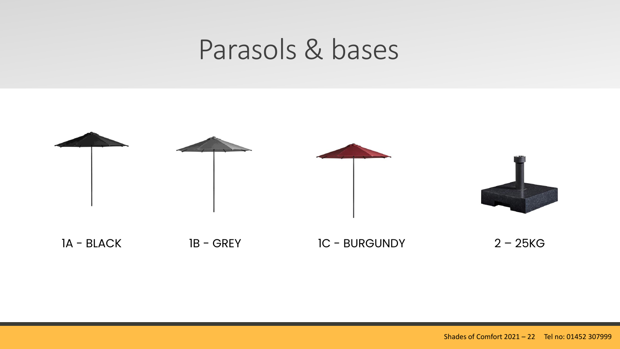## Parasols & bases

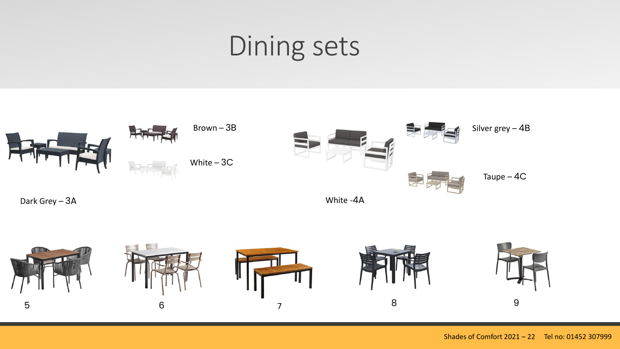# Dining sets

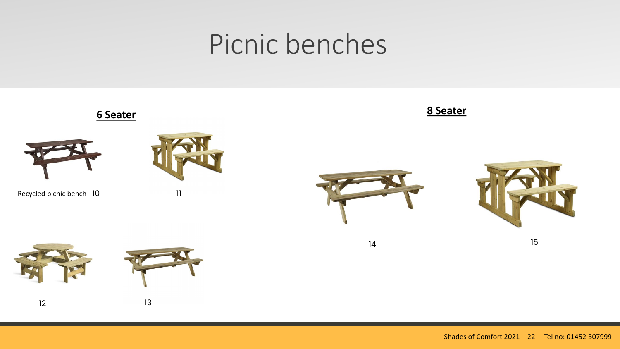# Picnic benches

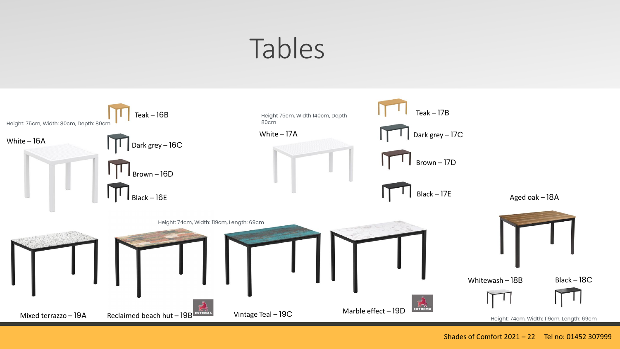# Tables

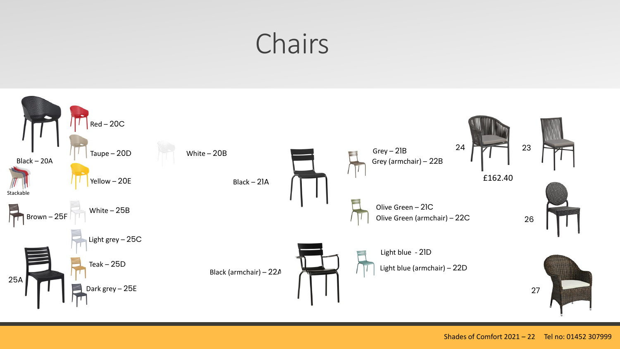# Chairs

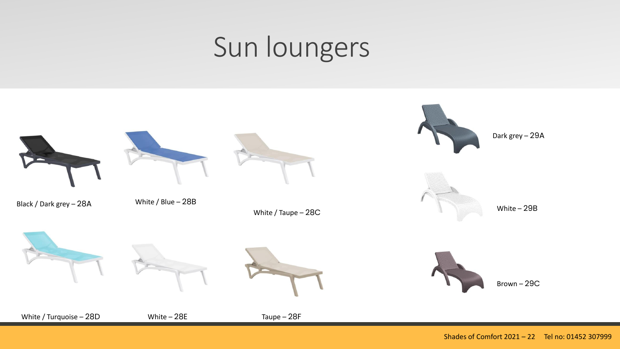# Sun loungers

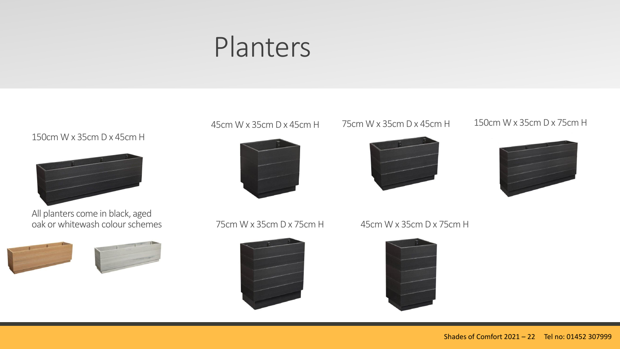### Planters

150cm W x 35cm D x 45cm H



All planters come in black, aged oak or whitewash colour schemes







45cm W x 35cm D x 45cm H 75cm W x 35cm D x 45cm H 150cm W x 35cm D x 75cm H





75cm W x 35cm D x 75cm H 45cm W x 35cm D x 75cm H